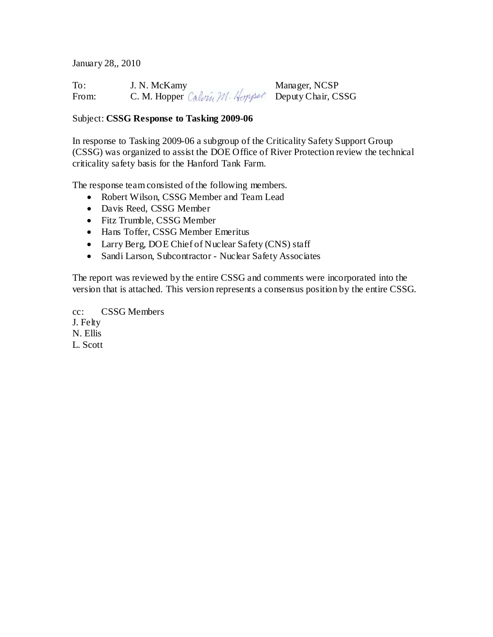January 28,, 2010

To: J. N. McKamy Manager, NCSP From: C. M. Hopper Calvin M. Hopper Deputy Chair, CSSG

# Subject: **CSSG Response to Tasking 2009-06**

In response to Tasking 2009-06 a subgroup of the Criticality Safety Support Group (CSSG) was organized to assist the DOE Office of River Protection review the technical criticality safety basis for the Hanford Tank Farm.

The response team consisted of the following members.

- Robert Wilson, CSSG Member and Team Lead
- Davis Reed, CSSG Member
- Fitz Trumble, CSSG Member
- Hans Toffer, CSSG Member Emeritus
- Larry Berg, DOE Chief of Nuclear Safety (CNS) staff
- Sandi Larson, Subcontractor Nuclear Safety Associates

The report was reviewed by the entire CSSG and comments were incorporated into the version that is attached. This version represents a consensus position by the entire CSSG.

cc: CSSG Members J. Felty N. Ellis L. Scott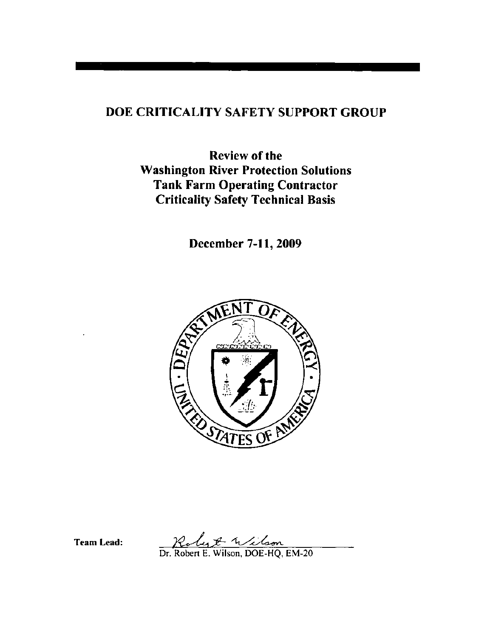# DOE CRITICALITY SAFETY SUPPORT GROUP

**Review of the Washington River Protection Solutions Tank Farm Operating Contractor Criticality Safety Technical Basis** 

December 7-11, 2009



**Team Lead:** 

Robert & Wilson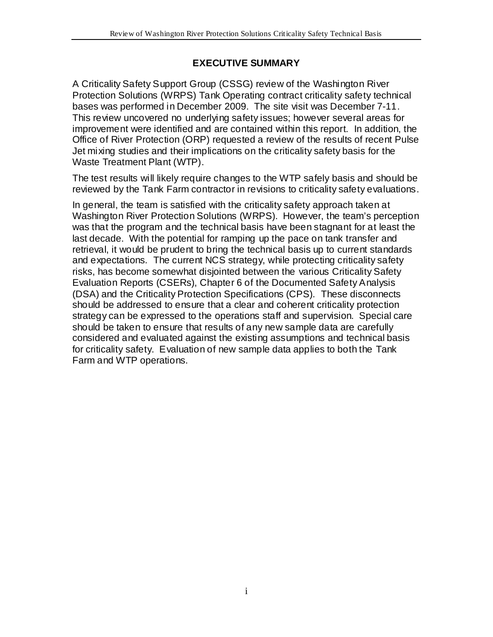## **EXECUTIVE SUMMARY**

A Criticality Safety Support Group (CSSG) review of the Washington River Protection Solutions (WRPS) Tank Operating contract criticality safety technical bases was performed in December 2009. The site visit was December 7-11. This review uncovered no underlying safety issues; however several areas for improvement were identified and are contained within this report. In addition, the Office of River Protection (ORP) requested a review of the results of recent Pulse Jet mixing studies and their implications on the criticality safety basis for the Waste Treatment Plant (WTP).

The test results will likely require changes to the WTP safely basis and should be reviewed by the Tank Farm contractor in revisions to criticality safety evaluations.

In general, the team is satisfied with the criticality safety approach taken at Washington River Protection Solutions (WRPS). However, the team's perception was that the program and the technical basis have been stagnant for at least the last decade. With the potential for ramping up the pace on tank transfer and retrieval, it would be prudent to bring the technical basis up to current standards and expectations. The current NCS strategy, while protecting criticality safety risks, has become somewhat disjointed between the various Criticality Safety Evaluation Reports (CSERs), Chapter 6 of the Documented Safety Analysis (DSA) and the Criticality Protection Specifications (CPS). These disconnects should be addressed to ensure that a clear and coherent criticality protection strategy can be expressed to the operations staff and supervision. Special care should be taken to ensure that results of any new sample data are carefully considered and evaluated against the existing assumptions and technical basis for criticality safety. Evaluation of new sample data applies to both the Tank Farm and WTP operations.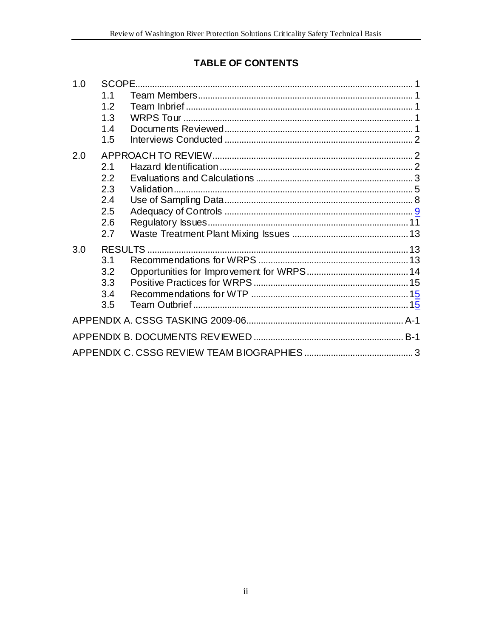# TABLE OF CONTENTS

| 1.0 | SCOPE. |  |  |  |  |  |
|-----|--------|--|--|--|--|--|
|     | 1.1    |  |  |  |  |  |
|     | 1.2    |  |  |  |  |  |
|     | 1.3    |  |  |  |  |  |
|     | 1.4    |  |  |  |  |  |
|     | 1.5    |  |  |  |  |  |
| 2.0 |        |  |  |  |  |  |
|     | 2.1    |  |  |  |  |  |
|     | 2.2    |  |  |  |  |  |
|     | 2.3    |  |  |  |  |  |
|     | 2.4    |  |  |  |  |  |
|     | 2.5    |  |  |  |  |  |
|     | 2.6    |  |  |  |  |  |
|     | 2.7    |  |  |  |  |  |
| 3.0 |        |  |  |  |  |  |
|     | 3.1    |  |  |  |  |  |
|     | 3.2    |  |  |  |  |  |
|     | 3.3    |  |  |  |  |  |
|     | 3.4    |  |  |  |  |  |
|     | 3.5    |  |  |  |  |  |
|     |        |  |  |  |  |  |
|     |        |  |  |  |  |  |
|     |        |  |  |  |  |  |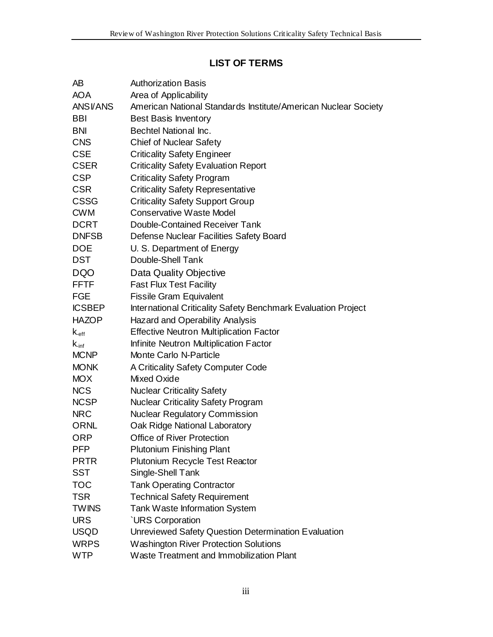## **LIST OF TERMS**

| AВ                          | <b>Authorization Basis</b>                                     |  |  |  |  |
|-----------------------------|----------------------------------------------------------------|--|--|--|--|
| <b>AOA</b>                  | Area of Applicability                                          |  |  |  |  |
| <b>ANSI/ANS</b>             | American National Standards Institute/American Nuclear Society |  |  |  |  |
| <b>BBI</b>                  | <b>Best Basis Inventory</b>                                    |  |  |  |  |
| <b>BNI</b>                  | Bechtel National Inc.                                          |  |  |  |  |
| <b>CNS</b>                  | <b>Chief of Nuclear Safety</b>                                 |  |  |  |  |
| <b>CSE</b>                  | <b>Criticality Safety Engineer</b>                             |  |  |  |  |
| <b>CSER</b>                 | <b>Criticality Safety Evaluation Report</b>                    |  |  |  |  |
| <b>CSP</b>                  | <b>Criticality Safety Program</b>                              |  |  |  |  |
| <b>CSR</b>                  | <b>Criticality Safety Representative</b>                       |  |  |  |  |
| <b>CSSG</b>                 | <b>Criticality Safety Support Group</b>                        |  |  |  |  |
| <b>CWM</b>                  | <b>Conservative Waste Model</b>                                |  |  |  |  |
| <b>DCRT</b>                 | Double-Contained Receiver Tank                                 |  |  |  |  |
| <b>DNFSB</b>                | Defense Nuclear Facilities Safety Board                        |  |  |  |  |
| <b>DOE</b>                  | U. S. Department of Energy                                     |  |  |  |  |
| <b>DST</b>                  | Double-Shell Tank                                              |  |  |  |  |
| <b>DQO</b>                  | Data Quality Objective                                         |  |  |  |  |
| <b>FFTF</b>                 | <b>Fast Flux Test Facility</b>                                 |  |  |  |  |
| <b>FGE</b>                  | <b>Fissile Gram Equivalent</b>                                 |  |  |  |  |
| <b>ICSBEP</b>               | International Criticality Safety Benchmark Evaluation Project  |  |  |  |  |
| <b>HAZOP</b>                | Hazard and Operability Analysis                                |  |  |  |  |
| $\mathsf{k}_{\mathsf{eff}}$ | <b>Effective Neutron Multiplication Factor</b>                 |  |  |  |  |
| $k_{\text{inf}}$            | Infinite Neutron Multiplication Factor                         |  |  |  |  |
| <b>MCNP</b>                 | Monte Carlo N-Particle                                         |  |  |  |  |
| <b>MONK</b>                 | A Criticality Safety Computer Code                             |  |  |  |  |
| <b>MOX</b>                  | Mixed Oxide                                                    |  |  |  |  |
| <b>NCS</b>                  | <b>Nuclear Criticality Safety</b>                              |  |  |  |  |
| <b>NCSP</b>                 | <b>Nuclear Criticality Safety Program</b>                      |  |  |  |  |
| <b>NRC</b>                  | <b>Nuclear Regulatory Commission</b>                           |  |  |  |  |
| <b>ORNL</b>                 | Oak Ridge National Laboratory                                  |  |  |  |  |
| <b>ORP</b>                  | Office of River Protection                                     |  |  |  |  |
| <b>PFP</b>                  | <b>Plutonium Finishing Plant</b>                               |  |  |  |  |
| <b>PRTR</b>                 | Plutonium Recycle Test Reactor                                 |  |  |  |  |
| <b>SST</b>                  | Single-Shell Tank                                              |  |  |  |  |
| <b>TOC</b>                  | <b>Tank Operating Contractor</b>                               |  |  |  |  |
| <b>TSR</b>                  | <b>Technical Safety Requirement</b>                            |  |  |  |  |
| <b>TWINS</b>                | Tank Waste Information System                                  |  |  |  |  |
| <b>URS</b>                  | <b>`URS Corporation</b>                                        |  |  |  |  |
| <b>USQD</b>                 | Unreviewed Safety Question Determination Evaluation            |  |  |  |  |
| <b>WRPS</b>                 | <b>Washington River Protection Solutions</b>                   |  |  |  |  |
| <b>WTP</b>                  | Waste Treatment and Immobilization Plant                       |  |  |  |  |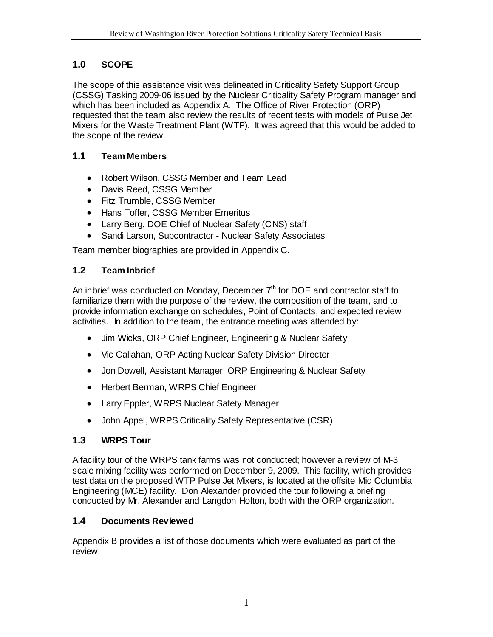## <span id="page-5-0"></span>**1.0 SCOPE**

The scope of this assistance visit was delineated in Criticality Safety Support Group (CSSG) Tasking 2009-06 issued by the Nuclear Criticality Safety Program manager and which has been included as Appendix A. The Office of River Protection (ORP) requested that the team also review the results of recent tests with models of Pulse Jet Mixers for the Waste Treatment Plant (WTP). It was agreed that this would be added to the scope of the review.

## <span id="page-5-1"></span>**1.1 Team Members**

- Robert Wilson, CSSG Member and Team Lead
- Davis Reed, CSSG Member
- Fitz Trumble, CSSG Member
- Hans Toffer, CSSG Member Emeritus
- Larry Berg, DOE Chief of Nuclear Safety (CNS) staff
- Sandi Larson, Subcontractor Nuclear Safety Associates

Team member biographies are provided in Appendix C.

## <span id="page-5-2"></span>**1.2 Team Inbrief**

An inbrief was conducted on Monday, December  $7<sup>th</sup>$  for DOE and contractor staff to familiarize them with the purpose of the review, the composition of the team, and to provide information exchange on schedules, Point of Contacts, and expected review activities. In addition to the team, the entrance meeting was attended by:

- Jim Wicks, ORP Chief Engineer, Engineering & Nuclear Safety
- Vic Callahan, ORP Acting Nuclear Safety Division Director
- Jon Dowell, Assistant Manager, ORP Engineering & Nuclear Safety
- Herbert Berman, WRPS Chief Engineer
- Larry Eppler, WRPS Nuclear Safety Manager
- John Appel, WRPS Criticality Safety Representative (CSR)

## <span id="page-5-3"></span>**1.3 WRPS Tour**

A facility tour of the WRPS tank farms was not conducted; however a review of M-3 scale mixing facility was performed on December 9, 2009. This facility, which provides test data on the proposed WTP Pulse Jet Mixers, is located at the offsite Mid Columbia Engineering (MCE) facility. Don Alexander provided the tour following a briefing conducted by Mr. Alexander and Langdon Holton, both with the ORP organization.

## <span id="page-5-4"></span>**1.4 Documents Reviewed**

Appendix B provides a list of those documents which were evaluated as part of the review.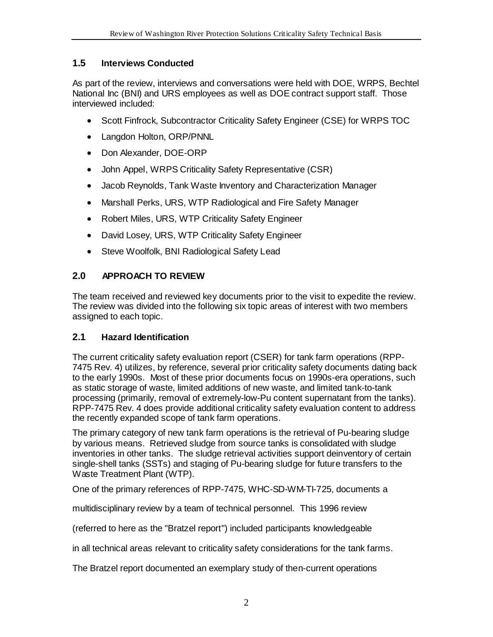## <span id="page-6-0"></span>**1.5 Interviews Conducted**

As part of the review, interviews and conversations were held with DOE, WRPS, Bechtel National Inc (BNI) and URS employees as well as DOE contract support staff. Those interviewed included:

- Scott Finfrock, Subcontractor Criticality Safety Engineer (CSE) for WRPS TOC
- Langdon Holton, ORP/PNNL
- Don Alexander, DOE-ORP
- John Appel, WRPS Criticality Safety Representative (CSR)
- Jacob Reynolds, Tank Waste Inventory and Characterization Manager
- Marshall Perks, URS, WTP Radiological and Fire Safety Manager
- Robert Miles, URS, WTP Criticality Safety Engineer
- David Losey, URS, WTP Criticality Safety Engineer
- Steve Woolfolk, BNI Radiological Safety Lead

## <span id="page-6-1"></span>**2.0 APPROACH TO REVIEW**

The team received and reviewed key documents prior to the visit to expedite the review. The review was divided into the following six topic areas of interest with two members assigned to each topic.

## <span id="page-6-2"></span>**2.1 Hazard Identification**

The current criticality safety evaluation report (CSER) for tank farm operations (RPP-7475 Rev. 4) utilizes, by reference, several prior criticality safety documents dating back to the early 1990s. Most of these prior documents focus on 1990s-era operations, such as static storage of waste, limited additions of new waste, and limited tank-to-tank processing (primarily, removal of extremely-low-Pu content supernatant from the tanks). RPP-7475 Rev. 4 does provide additional criticality safety evaluation content to address the recently expanded scope of tank farm operations.

The primary category of new tank farm operations is the retrieval of Pu-bearing sludge by various means. Retrieved sludge from source tanks is consolidated with sludge inventories in other tanks. The sludge retrieval activities support deinventory of certain single-shell tanks (SSTs) and staging of Pu-bearing sludge for future transfers to the Waste Treatment Plant (WTP).

One of the primary references of RPP-7475, WHC-SD-WM-TI-725, documents a

multidisciplinary review by a team of technical personnel. This 1996 review

(referred to here as the "Bratzel report") included participants knowledgeable

in all technical areas relevant to criticality safety considerations for the tank farms.

The Bratzel report documented an exemplary study of then-current operations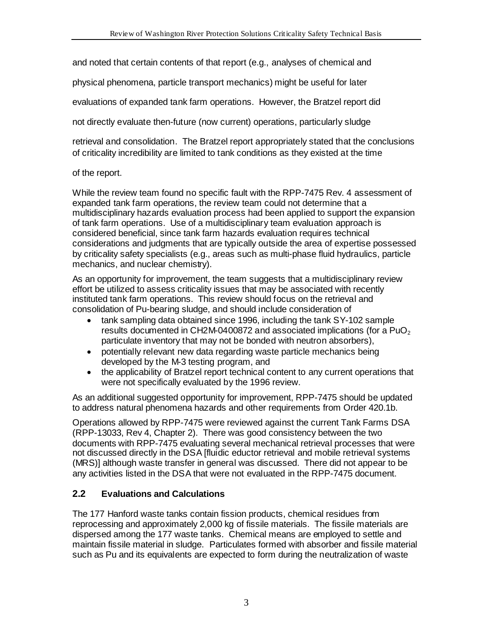and noted that certain contents of that report (e.g., analyses of chemical and

physical phenomena, particle transport mechanics) might be useful for later

evaluations of expanded tank farm operations. However, the Bratzel report did

not directly evaluate then-future (now current) operations, particularly sludge

retrieval and consolidation. The Bratzel report appropriately stated that the conclusions of criticality incredibility are limited to tank conditions as they existed at the time

#### of the report.

While the review team found no specific fault with the RPP-7475 Rev. 4 assessment of expanded tank farm operations, the review team could not determine that a multidisciplinary hazards evaluation process had been applied to support the expansion of tank farm operations. Use of a multidisciplinary team evaluation approach is considered beneficial, since tank farm hazards evaluation requires technical considerations and judgments that are typically outside the area of expertise possessed by criticality safety specialists (e.g., areas such as multi-phase fluid hydraulics, particle mechanics, and nuclear chemistry).

As an opportunity for improvement, the team suggests that a multidisciplinary review effort be utilized to assess criticality issues that may be associated with recently instituted tank farm operations. This review should focus on the retrieval and consolidation of Pu-bearing sludge, and should include consideration of

- tank sampling data obtained since 1996, including the tank SY-102 sample results documented in CH2M-0400872 and associated implications (for a PuO<sub>2</sub>) particulate inventory that may not be bonded with neutron absorbers),
- potentially relevant new data regarding waste particle mechanics being developed by the M-3 testing program, and
- the applicability of Bratzel report technical content to any current operations that were not specifically evaluated by the 1996 review.

As an additional suggested opportunity for improvement, RPP-7475 should be updated to address natural phenomena hazards and other requirements from Order 420.1b.

Operations allowed by RPP-7475 were reviewed against the current Tank Farms DSA (RPP-13033, Rev 4, Chapter 2). There was good consistency between the two documents with RPP-7475 evaluating several mechanical retrieval processes that were not discussed directly in the DSA [fluidic eductor retrieval and mobile retrieval systems (MRS)] although waste transfer in general was discussed. There did not appear to be any activities listed in the DSA that were not evaluated in the RPP-7475 document.

#### <span id="page-7-0"></span>**2.2 Evaluations and Calculations**

The 177 Hanford waste tanks contain fission products, chemical residues from reprocessing and approximately 2,000 kg of fissile materials. The fissile materials are dispersed among the 177 waste tanks. Chemical means are employed to settle and maintain fissile material in sludge. Particulates formed with absorber and fissile material such as Pu and its equivalents are expected to form during the neutralization of waste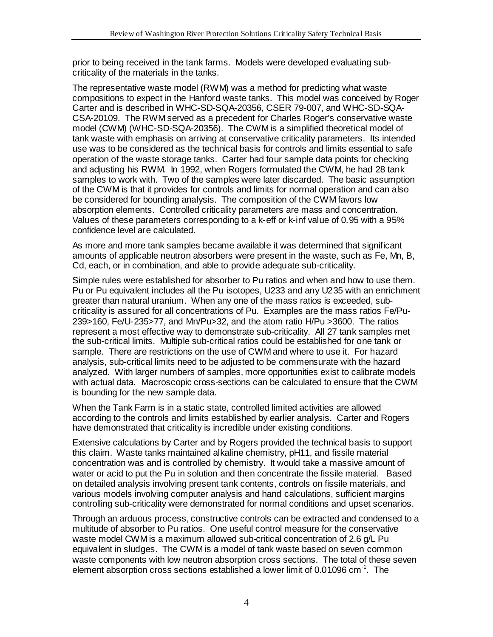prior to being received in the tank farms. Models were developed evaluating subcriticality of the materials in the tanks.

The representative waste model (RWM) was a method for predicting what waste compositions to expect in the Hanford waste tanks. This model was conceived by Roger Carter and is described in WHC-SD-SQA-20356, CSER 79-007, and WHC-SD-SQA-CSA-20109. The RWM served as a precedent for Charles Roger's conservative waste model (CWM) (WHC-SD-SQA-20356). The CWM is a simplified theoretical model of tank waste with emphasis on arriving at conservative criticality parameters. Its intended use was to be considered as the technical basis for controls and limits essential to safe operation of the waste storage tanks. Carter had four sample data points for checking and adjusting his RWM. In 1992, when Rogers formulated the CWM, he had 28 tank samples to work with. Two of the samples were later discarded. The basic assumption of the CWM is that it provides for controls and limits for normal operation and can also be considered for bounding analysis. The composition of the CWM favors low absorption elements. Controlled criticality parameters are mass and concentration. Values of these parameters corresponding to a k-eff or k-inf value of 0.95 with a 95% confidence level are calculated.

As more and more tank samples became available it was determined that significant amounts of applicable neutron absorbers were present in the waste, such as Fe, Mn, B, Cd, each, or in combination, and able to provide adequate sub-criticality.

Simple rules were established for absorber to Pu ratios and when and how to use them. Pu or Pu equivalent includes all the Pu isotopes, U233 and any U235 with an enrichment greater than natural uranium. When any one of the mass ratios is exceeded, subcriticality is assured for all concentrations of Pu. Examples are the mass ratios Fe/Pu-239>160, Fe/U-235>77, and Mn/Pu>32, and the atom ratio H/Pu >3600. The ratios represent a most effective way to demonstrate sub-criticality. All 27 tank samples met the sub-critical limits. Multiple sub-critical ratios could be established for one tank or sample. There are restrictions on the use of CWM and where to use it. For hazard analysis, sub-critical limits need to be adjusted to be commensurate with the hazard analyzed. With larger numbers of samples, more opportunities exist to calibrate models with actual data. Macroscopic cross-sections can be calculated to ensure that the CWM is bounding for the new sample data.

When the Tank Farm is in a static state, controlled limited activities are allowed according to the controls and limits established by earlier analysis. Carter and Rogers have demonstrated that criticality is incredible under existing conditions.

Extensive calculations by Carter and by Rogers provided the technical basis to support this claim. Waste tanks maintained alkaline chemistry, pH11, and fissile material concentration was and is controlled by chemistry. It would take a massive amount of water or acid to put the Pu in solution and then concentrate the fissile material. Based on detailed analysis involving present tank contents, controls on fissile materials, and various models involving computer analysis and hand calculations, sufficient margins controlling sub-criticality were demonstrated for normal conditions and upset scenarios.

Through an arduous process, constructive controls can be extracted and condensed to a multitude of absorber to Pu ratios. One useful control measure for the conservative waste model CWM is a maximum allowed sub-critical concentration of 2.6 g/L Pu equivalent in sludges. The CWM is a model of tank waste based on seven common waste components with low neutron absorption cross sections. The total of these seven element absorption cross sections established a lower limit of 0.01096  $cm^{-1}$ . The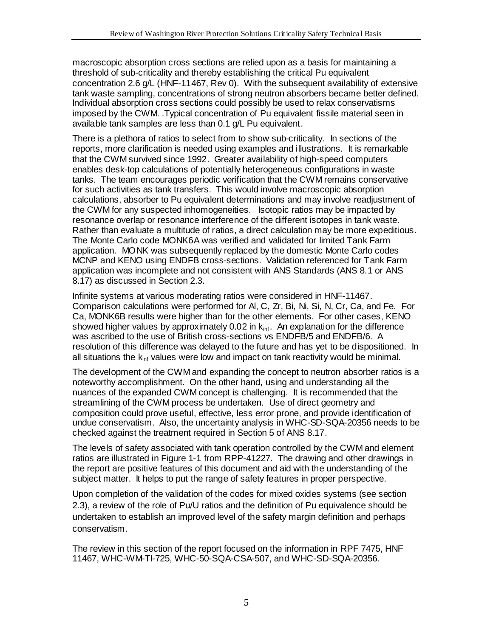macroscopic absorption cross sections are relied upon as a basis for maintaining a threshold of sub-criticality and thereby establishing the critical Pu equivalent concentration 2.6 g/L (HNF-11467, Rev 0). With the subsequent availability of extensive tank waste sampling, concentrations of strong neutron absorbers became better defined. Individual absorption cross sections could possibly be used to relax conservatisms imposed by the CWM. .Typical concentration of Pu equivalent fissile material seen in available tank samples are less than 0.1 g/L Pu equivalent.

There is a plethora of ratios to select from to show sub-criticality. In sections of the reports, more clarification is needed using examples and illustrations. It is remarkable that the CWM survived since 1992. Greater availability of high-speed computers enables desk-top calculations of potentially heterogeneous configurations in waste tanks. The team encourages periodic verification that the CWM remains conservative for such activities as tank transfers. This would involve macroscopic absorption calculations, absorber to Pu equivalent determinations and may involve readjustment of the CWM for any suspected inhomogeneities. Isotopic ratios may be impacted by resonance overlap or resonance interference of the different isotopes in tank waste. Rather than evaluate a multitude of ratios, a direct calculation may be more expeditious. The Monte Carlo code MONK6A was verified and validated for limited Tank Farm application. MONK was subsequently replaced by the domestic Monte Carlo codes MCNP and KENO using ENDFB cross-sections. Validation referenced for Tank Farm application was incomplete and not consistent with ANS Standards (ANS 8.1 or ANS 8.17) as discussed in Section [2.3.](#page-10-0)

Infinite systems at various moderating ratios were considered in HNF-11467. Comparison calculations were performed for Al, C, Zr, Bi, Ni, Si, N, Cr, Ca, and Fe. For Ca, MONK6B results were higher than for the other elements. For other cases, KENO showed higher values by approximately 0.02 in  $k_{\text{inf}}$ . An explanation for the difference was ascribed to the use of British cross-sections vs ENDFB/5 and ENDFB/6. A resolution of this difference was delayed to the future and has yet to be dispositioned. In all situations the  $k_{inf}$  values were low and impact on tank reactivity would be minimal.

The development of the CWM and expanding the concept to neutron absorber ratios is a noteworthy accomplishment. On the other hand, using and understanding all the nuances of the expanded CWM concept is challenging. It is recommended that the streamlining of the CWM process be undertaken. Use of direct geometry and composition could prove useful, effective, less error prone, and provide identification of undue conservatism. Also, the uncertainty analysis in WHC-SD-SQA-20356 needs to be checked against the treatment required in Section 5 of ANS 8.17.

The levels of safety associated with tank operation controlled by the CWM and element ratios are illustrated in Figure 1-1 from RPP-41227. The drawing and other drawings in the report are positive features of this document and aid with the understanding of the subject matter. It helps to put the range of safety features in proper perspective.

Upon completion of the validation of the codes for mixed oxides systems (see section 2.3), a review of the role of Pu/U ratios and the definition of Pu equivalence should be undertaken to establish an improved level of the safety margin definition and perhaps conservatism.

The review in this section of the report focused on the information in RPF 7475, HNF 11467, WHC-WM-TI-725, WHC-50-SQA-CSA-507, and WHC-SD-SQA-20356.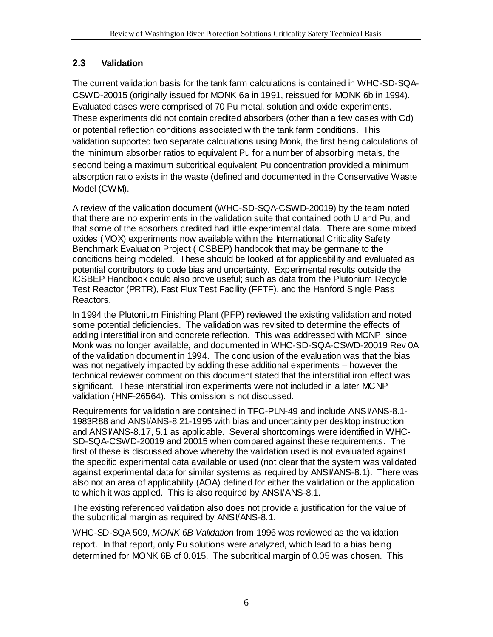## <span id="page-10-0"></span>**2.3 Validation**

The current validation basis for the tank farm calculations is contained in WHC-SD-SQA-CSWD-20015 (originally issued for MONK 6a in 1991, reissued for MONK 6b in 1994). Evaluated cases were comprised of 70 Pu metal, solution and oxide experiments. These experiments did not contain credited absorbers (other than a few cases with Cd) or potential reflection conditions associated with the tank farm conditions. This validation supported two separate calculations using Monk, the first being calculations of the minimum absorber ratios to equivalent Pu for a number of absorbing metals, the second being a maximum subcritical equivalent Pu concentration provided a minimum absorption ratio exists in the waste (defined and documented in the Conservative Waste Model (CWM).

A review of the validation document (WHC-SD-SQA-CSWD-20019) by the team noted that there are no experiments in the validation suite that contained both U and Pu, and that some of the absorbers credited had little experimental data. There are some mixed oxides (MOX) experiments now available within the International Criticality Safety Benchmark Evaluation Project (ICSBEP) handbook that may be germane to the conditions being modeled. These should be looked at for applicability and evaluated as potential contributors to code bias and uncertainty. Experimental results outside the ICSBEP Handbook could also prove useful; such as data from the Plutonium Recycle Test Reactor (PRTR), Fast Flux Test Facility (FFTF), and the Hanford Single Pass Reactors.

In 1994 the Plutonium Finishing Plant (PFP) reviewed the existing validation and noted some potential deficiencies. The validation was revisited to determine the effects of adding interstitial iron and concrete reflection. This was addressed with MCNP, since Monk was no longer available, and documented in WHC-SD-SQA-CSWD-20019 Rev 0A of the validation document in 1994. The conclusion of the evaluation was that the bias was not negatively impacted by adding these additional experiments – however the technical reviewer comment on this document stated that the interstitial iron effect was significant. These interstitial iron experiments were not included in a later MCNP validation (HNF-26564). This omission is not discussed.

Requirements for validation are contained in TFC-PLN-49 and include ANSI/ANS-8.1- 1983R88 and ANSI/ANS-8.21-1995 with bias and uncertainty per desktop instruction and ANSI/ANS-8.17, 5.1 as applicable. Several shortcomings were identified in WHC-SD-SQA-CSWD-20019 and 20015 when compared against these requirements. The first of these is discussed above whereby the validation used is not evaluated against the specific experimental data available or used (not clear that the system was validated against experimental data for similar systems as required by ANSI/ANS-8.1). There was also not an area of applicability (AOA) defined for either the validation or the application to which it was applied. This is also required by ANSI/ANS-8.1.

The existing referenced validation also does not provide a justification for the value of the subcritical margin as required by ANSI/ANS-8.1.

WHC-SD-SQA 509, *MONK 6B Validation* from 1996 was reviewed as the validation report. In that report, only Pu solutions were analyzed, which lead to a bias being determined for MONK 6B of 0.015. The subcritical margin of 0.05 was chosen. This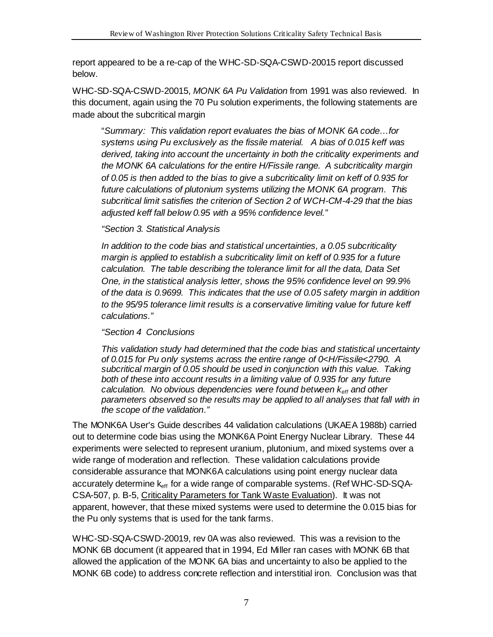report appeared to be a re-cap of the WHC-SD-SQA-CSWD-20015 report discussed below.

WHC-SD-SQA-CSWD-20015, *MONK 6A Pu Validation* from 1991 was also reviewed. In this document, again using the 70 Pu solution experiments, the following statements are made about the subcritical margin

"*Summary: This validation report evaluates the bias of MONK 6A code…for systems using Pu exclusively as the fissile material. A bias of 0.015 keff was derived, taking into account the uncertainty in both the criticality experiments and the MONK 6A calculations for the entire H/Fissile range. A subcriticality margin of 0.05 is then added to the bias to give a subcriticality limit on keff of 0.935 for future calculations of plutonium systems utilizing the MONK 6A program. This subcritical limit satisfies the criterion of Section 2 of WCH-CM-4-29 that the bias adjusted keff fall below 0.95 with a 95% confidence level."*

#### *"Section 3. Statistical Analysis*

*In addition to the code bias and statistical uncertainties, a 0.05 subcriticality margin is applied to establish a subcriticality limit on keff of 0.935 for a future calculation. The table describing the tolerance limit for all the data, Data Set One, in the statistical analysis letter, shows the 95% confidence level on 99.9% of the data is 0.9699. This indicates that the use of 0.05 safety margin in addition to the 95/95 tolerance limit results is a conservative limiting value for future keff calculations."*

#### *"Section 4 Conclusions*

*This validation study had determined that the code bias and statistical uncertainty of 0.015 for Pu only systems across the entire range of 0<H/Fissile<2790. A subcritical margin of 0.05 should be used in conjunction with this value. Taking both of these into account results in a limiting value of 0.935 for any future calculation. No obvious dependencies were found between keff and other parameters observed so the results may be applied to all analyses that fall with in the scope of the validation."*

The MONK6A User's Guide describes 44 validation calculations (UKAEA 1988b) carried out to determine code bias using the MONK6A Point Energy Nuclear Library. These 44 experiments were selected to represent uranium, plutonium, and mixed systems over a wide range of moderation and reflection. These validation calculations provide considerable assurance that MONK6A calculations using point energy nuclear data accurately determine  $k<sub>eff</sub>$  for a wide range of comparable systems. (Ref WHC-SD-SQA-CSA-507, p. B-5, Criticality Parameters for Tank Waste Evaluation). It was not apparent, however, that these mixed systems were used to determine the 0.015 bias for the Pu only systems that is used for the tank farms.

WHC-SD-SQA-CSWD-20019, rev 0A was also reviewed. This was a revision to the MONK 6B document (it appeared that in 1994, Ed Miller ran cases with MONK 6B that allowed the application of the MONK 6A bias and uncertainty to also be applied to the MONK 6B code) to address concrete reflection and interstitial iron. Conclusion was that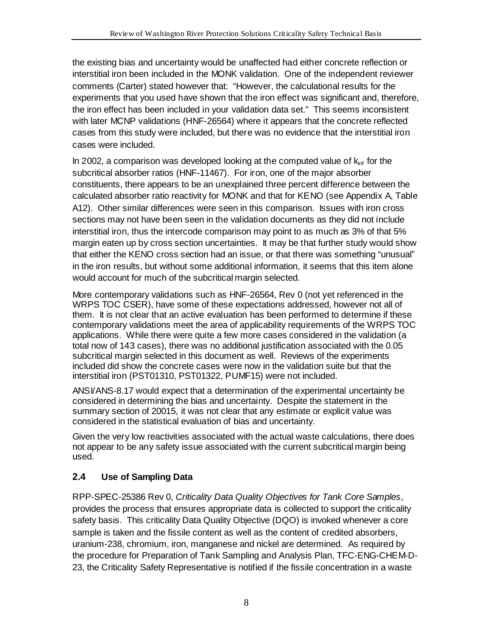the existing bias and uncertainty would be unaffected had either concrete reflection or interstitial iron been included in the MONK validation. One of the independent reviewer comments (Carter) stated however that: "However, the calculational results for the experiments that you used have shown that the iron effect was significant and, therefore, the iron effect has been included in your validation data set." This seems inconsistent with later MCNP validations (HNF-26564) where it appears that the concrete reflected cases from this study were included, but there was no evidence that the interstitial iron cases were included.

In 2002, a comparison was developed looking at the computed value of  $k<sub>inf</sub>$  for the subcritical absorber ratios (HNF-11467). For iron, one of the major absorber constituents, there appears to be an unexplained three percent difference between the calculated absorber ratio reactivity for MONK and that for KENO (see Appendix A, Table A12). Other similar differences were seen in this comparison. Issues with iron cross sections may not have been seen in the validation documents as they did not include interstitial iron, thus the intercode comparison may point to as much as 3% of that 5% margin eaten up by cross section uncertainties. It may be that further study would show that either the KENO cross section had an issue, or that there was something "unusual" in the iron results, but without some additional information, it seems that this item alone would account for much of the subcritical margin selected.

More contemporary validations such as HNF-26564, Rev 0 (not yet referenced in the WRPS TOC CSER), have some of these expectations addressed, however not all of them. It is not clear that an active evaluation has been performed to determine if these contemporary validations meet the area of applicability requirements of the WRPS TOC applications. While there were quite a few more cases considered in the validation (a total now of 143 cases), there was no additional justification associated with the 0.05 subcritical margin selected in this document as well. Reviews of the experiments included did show the concrete cases were now in the validation suite but that the interstitial iron (PST01310, PST01322, PUMF15) were not included.

ANSI/ANS-8.17 would expect that a determination of the experimental uncertainty be considered in determining the bias and uncertainty. Despite the statement in the summary section of 20015, it was not clear that any estimate or explicit value was considered in the statistical evaluation of bias and uncertainty.

Given the very low reactivities associated with the actual waste calculations, there does not appear to be any safety issue associated with the current subcritical margin being used.

# <span id="page-12-0"></span>**2.4 Use of Sampling Data**

RPP-SPEC-25386 Rev 0, *Criticality Data Quality Objectives for Tank Core Samples*, provides the process that ensures appropriate data is collected to support the criticality safety basis. This criticality Data Quality Objective (DQO) is invoked whenever a core sample is taken and the fissile content as well as the content of credited absorbers, uranium-238, chromium, iron, manganese and nickel are determined. As required by the procedure for Preparation of Tank Sampling and Analysis Plan, TFC-ENG-CHEM-D-23, the Criticality Safety Representative is notified if the fissile concentration in a waste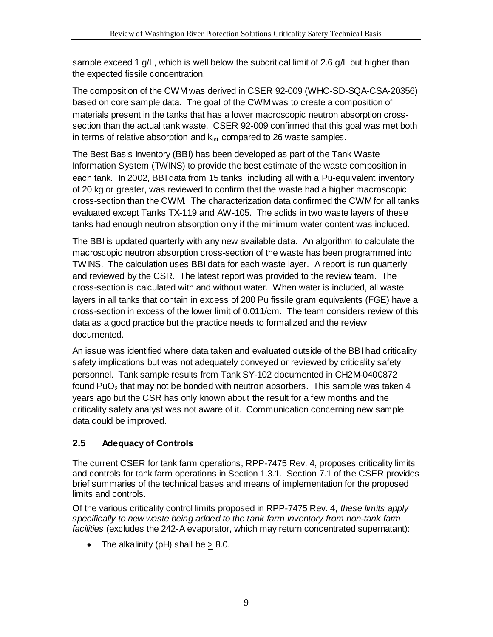sample exceed 1 g/L, which is well below the subcritical limit of 2.6 g/L but higher than the expected fissile concentration.

The composition of the CWM was derived in CSER 92-009 (WHC-SD-SQA-CSA-20356) based on core sample data. The goal of the CWM was to create a composition of materials present in the tanks that has a lower macroscopic neutron absorption crosssection than the actual tank waste. CSER 92-009 confirmed that this goal was met both in terms of relative absorption and  $k_{\text{inf}}$  compared to 26 waste samples.

The Best Basis Inventory (BBI) has been developed as part of the Tank Waste Information System (TWINS) to provide the best estimate of the waste composition in each tank. In 2002, BBI data from 15 tanks, including all with a Pu-equivalent inventory of 20 kg or greater, was reviewed to confirm that the waste had a higher macroscopic cross-section than the CWM. The characterization data confirmed the CWM for all tanks evaluated except Tanks TX-119 and AW-105. The solids in two waste layers of these tanks had enough neutron absorption only if the minimum water content was included.

The BBI is updated quarterly with any new available data. An algorithm to calculate the macroscopic neutron absorption cross-section of the waste has been programmed into TWINS. The calculation uses BBI data for each waste layer. A report is run quarterly and reviewed by the CSR. The latest report was provided to the review team. The cross-section is calculated with and without water. When water is included, all waste layers in all tanks that contain in excess of 200 Pu fissile gram equivalents (FGE) have a cross-section in excess of the lower limit of 0.011/cm. The team considers review of this data as a good practice but the practice needs to formalized and the review documented.

An issue was identified where data taken and evaluated outside of the BBI had criticality safety implications but was not adequately conveyed or reviewed by criticality safety personnel. Tank sample results from Tank SY-102 documented in CH2M-0400872 found PuO<sub>2</sub> that may not be bonded with neutron absorbers. This sample was taken 4 years ago but the CSR has only known about the result for a few months and the criticality safety analyst was not aware of it. Communication concerning new sample data could be improved.

## <span id="page-13-0"></span>**2.5 Adequacy of Controls**

The current CSER for tank farm operations, RPP-7475 Rev. 4, proposes criticality limits and controls for tank farm operations in Section 1.3.1. Section 7.1 of the CSER provides brief summaries of the technical bases and means of implementation for the proposed limits and controls.

Of the various criticality control limits proposed in RPP-7475 Rev. 4, *these limits apply specifically to new waste being added to the tank farm inventory from non-tank farm facilities* (excludes the 242-A evaporator, which may return concentrated supernatant):

• The alkalinity ( $pH$ ) shall be  $> 8.0$ .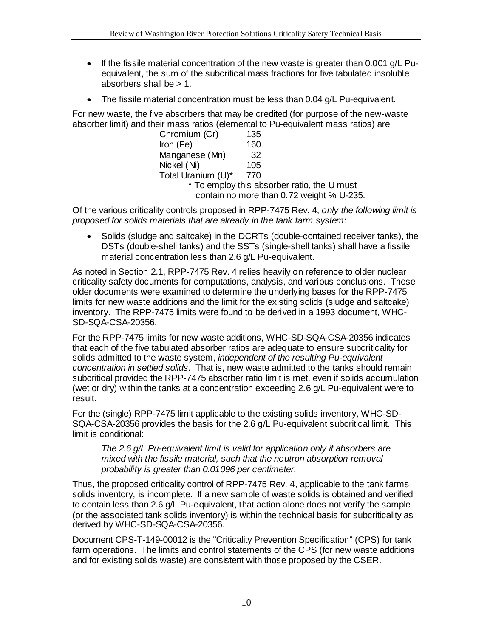- If the fissile material concentration of the new waste is greater than 0.001 g/L Puequivalent, the sum of the subcritical mass fractions for five tabulated insoluble absorbers shall be > 1.
- The fissile material concentration must be less than 0.04 g/L Pu-equivalent.

For new waste, the five absorbers that may be credited (for purpose of the new-waste absorber limit) and their mass ratios (elemental to Pu-equivalent mass ratios) are

| Chromium (Cr)                               | 135 |  |  |  |  |  |
|---------------------------------------------|-----|--|--|--|--|--|
| Iron $(Fe)$                                 | 160 |  |  |  |  |  |
| Manganese (Mn)                              | 32  |  |  |  |  |  |
| Nickel (Ni)                                 | 105 |  |  |  |  |  |
| Total Uranium (U)*                          | 770 |  |  |  |  |  |
| * To employ this absorber ratio, the U must |     |  |  |  |  |  |
| contain no more than 0.72 weight % U-235.   |     |  |  |  |  |  |

Of the various criticality controls proposed in RPP-7475 Rev. 4, *only the following limit is proposed for solids materials that are already in the tank farm system*:

• Solids (sludge and saltcake) in the DCRTs (double-contained receiver tanks), the DSTs (double-shell tanks) and the SSTs (single-shell tanks) shall have a fissile material concentration less than 2.6 g/L Pu-equivalent.

As noted in Section 2.1, RPP-7475 Rev. 4 relies heavily on reference to older nuclear criticality safety documents for computations, analysis, and various conclusions. Those older documents were examined to determine the underlying bases for the RPP-7475 limits for new waste additions and the limit for the existing solids (sludge and saltcake) inventory. The RPP-7475 limits were found to be derived in a 1993 document, WHC-SD-SQA-CSA-20356.

For the RPP-7475 limits for new waste additions, WHC-SD-SQA-CSA-20356 indicates that each of the five tabulated absorber ratios are adequate to ensure subcriticality for solids admitted to the waste system, *independent of the resulting Pu-equivalent concentration in settled solids*. That is, new waste admitted to the tanks should remain subcritical provided the RPP-7475 absorber ratio limit is met, even if solids accumulation (wet or dry) within the tanks at a concentration exceeding 2.6 g/L Pu-equivalent were to result.

For the (single) RPP-7475 limit applicable to the existing solids inventory, WHC-SD-SQA-CSA-20356 provides the basis for the 2.6 g/L Pu-equivalent subcritical limit. This limit is conditional:

*The 2.6 g/L Pu-equivalent limit is valid for application only if absorbers are mixed with the fissile material, such that the neutron absorption removal probability is greater than 0.01096 per centimeter.*

Thus, the proposed criticality control of RPP-7475 Rev. 4, applicable to the tank farms solids inventory, is incomplete. If a new sample of waste solids is obtained and verified to contain less than 2.6 g/L Pu-equivalent, that action alone does not verify the sample (or the associated tank solids inventory) is within the technical basis for subcriticality as derived by WHC-SD-SQA-CSA-20356.

Document CPS-T-149-00012 is the "Criticality Prevention Specification" (CPS) for tank farm operations. The limits and control statements of the CPS (for new waste additions and for existing solids waste) are consistent with those proposed by the CSER.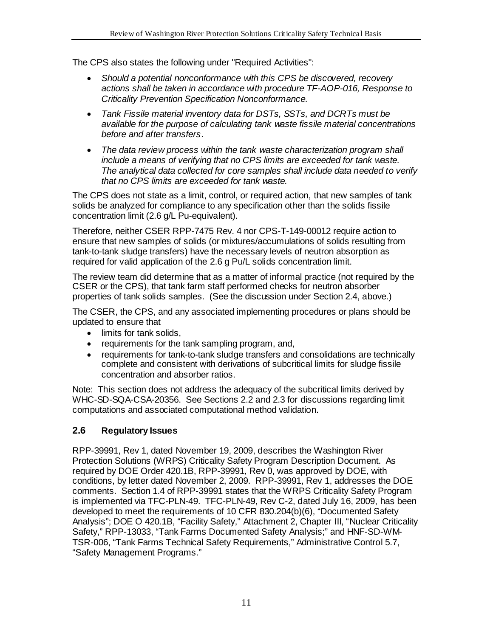The CPS also states the following under "Required Activities":

- *Should a potential nonconformance with this CPS be discovered, recovery actions shall be taken in accordance with procedure TF-AOP-016, Response to Criticality Prevention Specification Nonconformance.*
- *Tank Fissile material inventory data for DSTs, SSTs, and DCRTs must be available for the purpose of calculating tank waste fissile material concentrations before and after transfers*.
- *The data review process within the tank waste characterization program shall include a means of verifying that no CPS limits are exceeded for tank waste. The analytical data collected for core samples shall include data needed to verify that no CPS limits are exceeded for tank waste.*

The CPS does not state as a limit, control, or required action, that new samples of tank solids be analyzed for compliance to any specification other than the solids fissile concentration limit (2.6 g/L Pu-equivalent).

Therefore, neither CSER RPP-7475 Rev. 4 nor CPS-T-149-00012 require action to ensure that new samples of solids (or mixtures/accumulations of solids resulting from tank-to-tank sludge transfers) have the necessary levels of neutron absorption as required for valid application of the 2.6 g Pu/L solids concentration limit.

The review team did determine that as a matter of informal practice (not required by the CSER or the CPS), that tank farm staff performed checks for neutron absorber properties of tank solids samples. (See the discussion under Section 2.4, above.)

The CSER, the CPS, and any associated implementing procedures or plans should be updated to ensure that

- limits for tank solids,
- requirements for the tank sampling program, and,
- requirements for tank-to-tank sludge transfers and consolidations are technically complete and consistent with derivations of subcritical limits for sludge fissile concentration and absorber ratios.

Note: This section does not address the adequacy of the subcritical limits derived by WHC-SD-SQA-CSA-20356. See Sections 2.2 and 2.3 for discussions regarding limit computations and associated computational method validation.

#### <span id="page-15-0"></span>**2.6 Regulatory Issues**

RPP-39991, Rev 1, dated November 19, 2009, describes the Washington River Protection Solutions (WRPS) Criticality Safety Program Description Document. As required by DOE Order 420.1B, RPP-39991, Rev 0, was approved by DOE, with conditions, by letter dated November 2, 2009. RPP-39991, Rev 1, addresses the DOE comments. Section 1.4 of RPP-39991 states that the WRPS Criticality Safety Program is implemented via TFC-PLN-49. TFC-PLN-49, Rev C-2, dated July 16, 2009, has been developed to meet the requirements of 10 CFR 830.204(b)(6), "Documented Safety Analysis"; DOE O 420.1B, "Facility Safety," Attachment 2, Chapter III, "Nuclear Criticality Safety," RPP-13033, "Tank Farms Documented Safety Analysis;" and HNF-SD-WM-TSR-006, "Tank Farms Technical Safety Requirements," Administrative Control 5.7, "Safety Management Programs."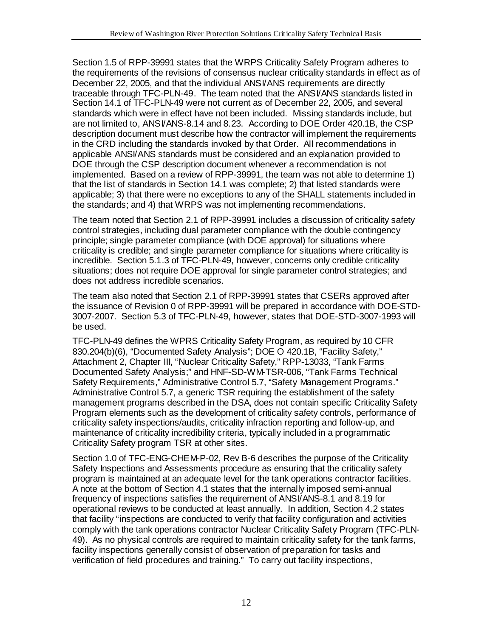Section 1.5 of RPP-39991 states that the WRPS Criticality Safety Program adheres to the requirements of the revisions of consensus nuclear criticality standards in effect as of December 22, 2005, and that the individual ANSI/ANS requirements are directly traceable through TFC-PLN-49. The team noted that the ANSI/ANS standards listed in Section 14.1 of TFC-PLN-49 were not current as of December 22, 2005, and several standards which were in effect have not been included. Missing standards include, but are not limited to, ANSI/ANS-8.14 and 8.23. According to DOE Order 420.1B, the CSP description document must describe how the contractor will implement the requirements in the CRD including the standards invoked by that Order. All recommendations in applicable ANSI/ANS standards must be considered and an explanation provided to DOE through the CSP description document whenever a recommendation is not implemented. Based on a review of RPP-39991, the team was not able to determine 1) that the list of standards in Section 14.1 was complete; 2) that listed standards were applicable; 3) that there were no exceptions to any of the SHALL statements included in the standards; and 4) that WRPS was not implementing recommendations.

The team noted that Section 2.1 of RPP-39991 includes a discussion of criticality safety control strategies, including dual parameter compliance with the double contingency principle; single parameter compliance (with DOE approval) for situations where criticality is credible; and single parameter compliance for situations where criticality is incredible. Section 5.1.3 of TFC-PLN-49, however, concerns only credible criticality situations; does not require DOE approval for single parameter control strategies; and does not address incredible scenarios.

The team also noted that Section 2.1 of RPP-39991 states that CSERs approved after the issuance of Revision 0 of RPP-39991 will be prepared in accordance with DOE-STD-3007-2007. Section 5.3 of TFC-PLN-49, however, states that DOE-STD-3007-1993 will be used.

TFC-PLN-49 defines the WPRS Criticality Safety Program, as required by 10 CFR 830.204(b)(6), "Documented Safety Analysis"; DOE O 420.1B, "Facility Safety," Attachment 2, Chapter III, "Nuclear Criticality Safety," RPP-13033, "Tank Farms Documented Safety Analysis;" and HNF-SD-WM-TSR-006, "Tank Farms Technical Safety Requirements," Administrative Control 5.7, "Safety Management Programs." Administrative Control 5.7, a generic TSR requiring the establishment of the safety management programs described in the DSA, does not contain specific Criticality Safety Program elements such as the development of criticality safety controls, performance of criticality safety inspections/audits, criticality infraction reporting and follow-up, and maintenance of criticality incredibility criteria, typically included in a programmatic Criticality Safety program TSR at other sites.

Section 1.0 of TFC-ENG-CHEM-P-02, Rev B-6 describes the purpose of the Criticality Safety Inspections and Assessments procedure as ensuring that the criticality safety program is maintained at an adequate level for the tank operations contractor facilities. A note at the bottom of Section 4.1 states that the internally imposed semi-annual frequency of inspections satisfies the requirement of ANSI/ANS-8.1 and 8.19 for operational reviews to be conducted at least annually. In addition, Section 4.2 states that facility "inspections are conducted to verify that facility configuration and activities comply with the tank operations contractor Nuclear Criticality Safety Program (TFC-PLN-49). As no physical controls are required to maintain criticality safety for the tank farms, facility inspections generally consist of observation of preparation for tasks and verification of field procedures and training." To carry out facility inspections,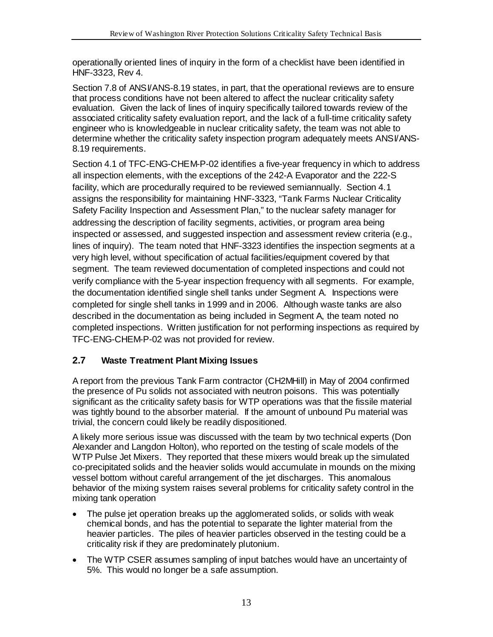operationally oriented lines of inquiry in the form of a checklist have been identified in HNF-3323, Rev 4.

Section 7.8 of ANSI/ANS-8.19 states, in part, that the operational reviews are to ensure that process conditions have not been altered to affect the nuclear criticality safety evaluation. Given the lack of lines of inquiry specifically tailored towards review of the associated criticality safety evaluation report, and the lack of a full-time criticality safety engineer who is knowledgeable in nuclear criticality safety, the team was not able to determine whether the criticality safety inspection program adequately meets ANSI/ANS-8.19 requirements.

Section 4.1 of TFC-ENG-CHEM-P-02 identifies a five-year frequency in which to address all inspection elements, with the exceptions of the 242-A Evaporator and the 222-S facility, which are procedurally required to be reviewed semiannually. Section 4.1 assigns the responsibility for maintaining HNF-3323, "Tank Farms Nuclear Criticality Safety Facility Inspection and Assessment Plan," to the nuclear safety manager for addressing the description of facility segments, activities, or program area being inspected or assessed, and suggested inspection and assessment review criteria (e.g., lines of inquiry). The team noted that HNF-3323 identifies the inspection segments at a very high level, without specification of actual facilities/equipment covered by that segment. The team reviewed documentation of completed inspections and could not verify compliance with the 5-year inspection frequency with all segments. For example, the documentation identified single shell tanks under Segment A. Inspections were completed for single shell tanks in 1999 and in 2006. Although waste tanks are also described in the documentation as being included in Segment A, the team noted no completed inspections. Written justification for not performing inspections as required by TFC-ENG-CHEM-P-02 was not provided for review.

## <span id="page-17-0"></span>**2.7 Waste Treatment Plant Mixing Issues**

A report from the previous Tank Farm contractor (CH2MHill) in May of 2004 confirmed the presence of Pu solids not associated with neutron poisons. This was potentially significant as the criticality safety basis for WTP operations was that the fissile material was tightly bound to the absorber material. If the amount of unbound Pu material was trivial, the concern could likely be readily dispositioned.

A likely more serious issue was discussed with the team by two technical experts (Don Alexander and Langdon Holton), who reported on the testing of scale models of the WTP Pulse Jet Mixers. They reported that these mixers would break up the simulated co-precipitated solids and the heavier solids would accumulate in mounds on the mixing vessel bottom without careful arrangement of the jet discharges. This anomalous behavior of the mixing system raises several problems for criticality safety control in the mixing tank operation

- The pulse jet operation breaks up the agglomerated solids, or solids with weak chemical bonds, and has the potential to separate the lighter material from the heavier particles. The piles of heavier particles observed in the testing could be a criticality risk if they are predominately plutonium.
- The WTP CSER assumes sampling of input batches would have an uncertainty of 5%. This would no longer be a safe assumption.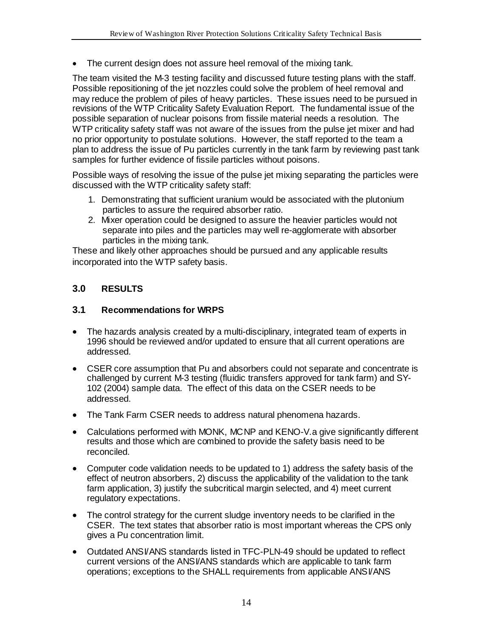• The current design does not assure heel removal of the mixing tank.

The team visited the M-3 testing facility and discussed future testing plans with the staff. Possible repositioning of the jet nozzles could solve the problem of heel removal and may reduce the problem of piles of heavy particles. These issues need to be pursued in revisions of the WTP Criticality Safety Evaluation Report. The fundamental issue of the possible separation of nuclear poisons from fissile material needs a resolution. The WTP criticality safety staff was not aware of the issues from the pulse jet mixer and had no prior opportunity to postulate solutions. However, the staff reported to the team a plan to address the issue of Pu particles currently in the tank farm by reviewing past tank samples for further evidence of fissile particles without poisons.

Possible ways of resolving the issue of the pulse jet mixing separating the particles were discussed with the WTP criticality safety staff:

- 1. Demonstrating that sufficient uranium would be associated with the plutonium particles to assure the required absorber ratio.
- 2. Mixer operation could be designed to assure the heavier particles would not separate into piles and the particles may well re-agglomerate with absorber particles in the mixing tank.

These and likely other approaches should be pursued and any applicable results incorporated into the WTP safety basis.

## <span id="page-18-0"></span>**3.0 RESULTS**

#### <span id="page-18-1"></span>**3.1 Recommendations for WRPS**

- The hazards analysis created by a multi-disciplinary, integrated team of experts in 1996 should be reviewed and/or updated to ensure that all current operations are addressed.
- CSER core assumption that Pu and absorbers could not separate and concentrate is challenged by current M-3 testing (fluidic transfers approved for tank farm) and SY-102 (2004) sample data. The effect of this data on the CSER needs to be addressed.
- The Tank Farm CSER needs to address natural phenomena hazards.
- Calculations performed with MONK, MCNP and KENO-V.a give significantly different results and those which are combined to provide the safety basis need to be reconciled.
- Computer code validation needs to be updated to 1) address the safety basis of the effect of neutron absorbers, 2) discuss the applicability of the validation to the tank farm application, 3) justify the subcritical margin selected, and 4) meet current regulatory expectations.
- The control strategy for the current sludge inventory needs to be clarified in the CSER. The text states that absorber ratio is most important whereas the CPS only gives a Pu concentration limit.
- Outdated ANSI/ANS standards listed in TFC-PLN-49 should be updated to reflect current versions of the ANSI/ANS standards which are applicable to tank farm operations; exceptions to the SHALL requirements from applicable ANSI/ANS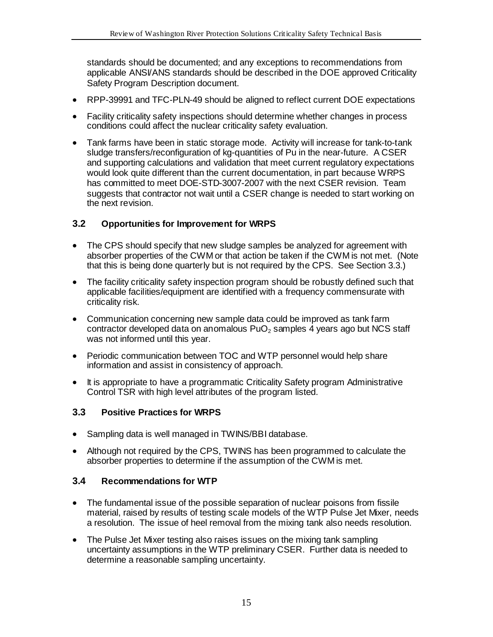standards should be documented; and any exceptions to recommendations from applicable ANSI/ANS standards should be described in the DOE approved Criticality Safety Program Description document.

- RPP-39991 and TFC-PLN-49 should be aligned to reflect current DOE expectations
- Facility criticality safety inspections should determine whether changes in process conditions could affect the nuclear criticality safety evaluation.
- Tank farms have been in static storage mode. Activity will increase for tank-to-tank sludge transfers/reconfiguration of kg-quantities of Pu in the near-future. A CSER and supporting calculations and validation that meet current regulatory expectations would look quite different than the current documentation, in part because WRPS has committed to meet DOE-STD-3007-2007 with the next CSER revision. Team suggests that contractor not wait until a CSER change is needed to start working on the next revision.

#### <span id="page-19-0"></span>**3.2 Opportunities for Improvement for WRPS**

- The CPS should specify that new sludge samples be analyzed for agreement with absorber properties of the CWM or that action be taken if the CWM is not met. (Note that this is being done quarterly but is not required by the CPS. See Section 3.3.)
- The facility criticality safety inspection program should be robustly defined such that applicable facilities/equipment are identified with a frequency commensurate with criticality risk.
- Communication concerning new sample data could be improved as tank farm contractor developed data on anomalous  $PuO<sub>2</sub>$  samples 4 years ago but NCS staff was not informed until this year.
- Periodic communication between TOC and WTP personnel would help share information and assist in consistency of approach.
- It is appropriate to have a programmatic Criticality Safety program Administrative Control TSR with high level attributes of the program listed.

#### <span id="page-19-1"></span>**3.3 Positive Practices for WRPS**

- Sampling data is well managed in TWINS/BBI database.
- Although not required by the CPS, TWINS has been programmed to calculate the absorber properties to determine if the assumption of the CWM is met.

#### <span id="page-19-2"></span>**3.4 Recommendations for WTP**

- The fundamental issue of the possible separation of nuclear poisons from fissile material, raised by results of testing scale models of the WTP Pulse Jet Mixer, needs a resolution. The issue of heel removal from the mixing tank also needs resolution.
- The Pulse Jet Mixer testing also raises issues on the mixing tank sampling uncertainty assumptions in the WTP preliminary CSER. Further data is needed to determine a reasonable sampling uncertainty.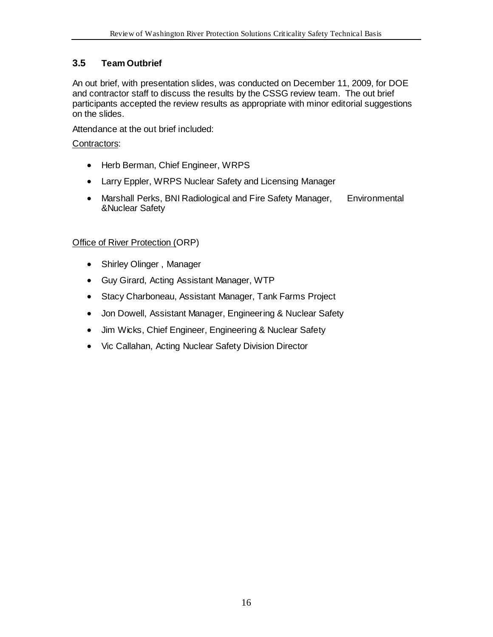## <span id="page-20-0"></span>**3.5 Team Outbrief**

An out brief, with presentation slides, was conducted on December 11, 2009, for DOE and contractor staff to discuss the results by the CSSG review team. The out brief participants accepted the review results as appropriate with minor editorial suggestions on the slides.

Attendance at the out brief included:

#### Contractors :

- Herb Berman, Chief Engineer, WRPS
- Larry Eppler, WRPS Nuclear Safety and Licensing Manager
- Marshall Perks, BNI Radiological and Fire Safety Manager, Environmental &Nuclear Safety

## Office of River Protection ( ORP)

- Shirley Olinger , Manager
- Guy Girard, Acting Assistant Manager, WTP
- Stacy Charboneau, Assistant Manager, Tank Farms Project
- Jon Dowell, Assistant Manager, Engineering & Nuclear Safety
- Jim Wicks, Chief Engineer, Engineering & Nuclear Safety
- Vic Callahan, Acting Nuclear Safety Division Director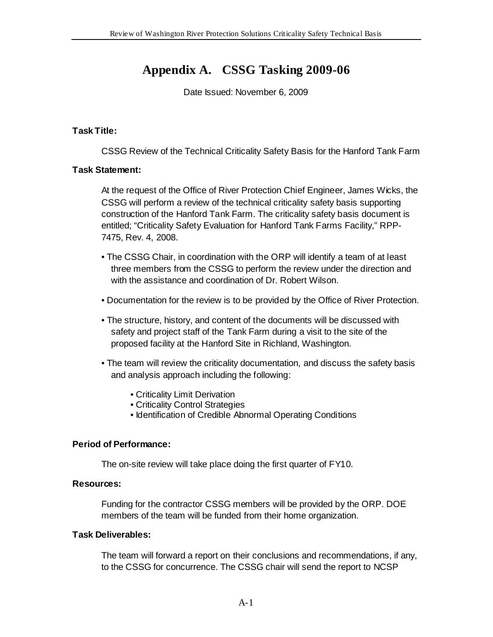# **Appendix A. CSSG Tasking 2009-06**

Date Issued: November 6, 2009

#### <span id="page-21-0"></span>**Task Title:**

CSSG Review of the Technical Criticality Safety Basis for the Hanford Tank Farm

#### **Task Statement:**

At the request of the Office of River Protection Chief Engineer, James Wicks, the CSSG will perform a review of the technical criticality safety basis supporting construction of the Hanford Tank Farm. The criticality safety basis document is entitled; "Criticality Safety Evaluation for Hanford Tank Farms Facility," RPP-7475, Rev. 4, 2008.

- The CSSG Chair, in coordination with the ORP will identify a team of at least three members from the CSSG to perform the review under the direction and with the assistance and coordination of Dr. Robert Wilson.
- Documentation for the review is to be provided by the Office of River Protection.
- The structure, history, and content of the documents will be discussed with safety and project staff of the Tank Farm during a visit to the site of the proposed facility at the Hanford Site in Richland, Washington.
- The team will review the criticality documentation, and discuss the safety basis and analysis approach including the following:
	- Criticality Limit Derivation
	- Criticality Control Strategies
	- Identification of Credible Abnormal Operating Conditions

#### **Period of Performance:**

The on-site review will take place doing the first quarter of FY10.

#### **Resources:**

Funding for the contractor CSSG members will be provided by the ORP. DOE members of the team will be funded from their home organization.

#### **Task Deliverables:**

The team will forward a report on their conclusions and recommendations, if any, to the CSSG for concurrence. The CSSG chair will send the report to NCSP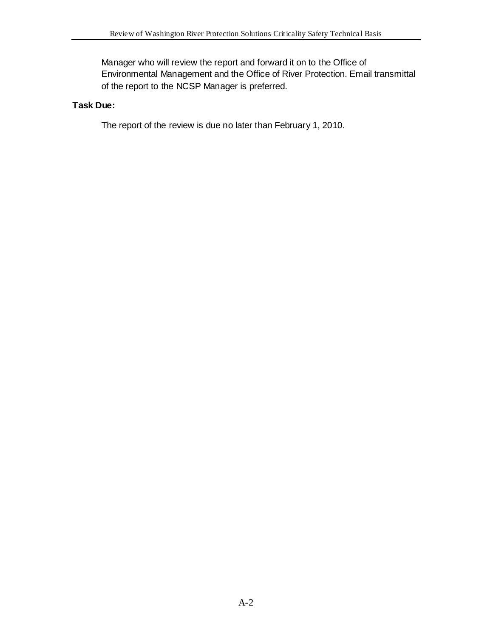Manager who will review the report and forward it on to the Office of Environmental Management and the Office of River Protection. Email transmittal of the report to the NCSP Manager is preferred.

#### **Task Due:**

The report of the review is due no later than February 1, 2010.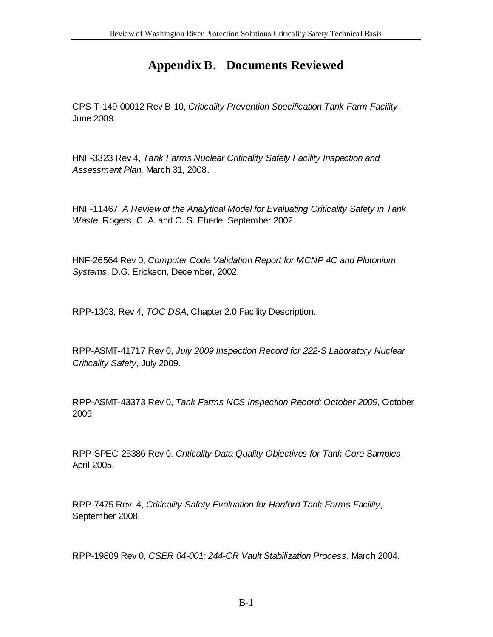# **Appendix B. Documents Reviewed**

<span id="page-23-0"></span>CPS-T-149-00012 Rev B-10, *Criticality Prevention Specification Tank Farm Facility*, June 2009.

HNF-3323 Rev 4, *Tank Farms Nuclear Criticality Safety Facility Inspection and Assessment Plan,* March 31, 2008.

HNF-11467, *A Review of the Analytical Model for Evaluating Criticality Safety in Tank Waste*, Rogers, C. A. and C. S. Eberle, September 2002.

HNF-26564 Rev 0, *Computer Code Validation Report for MCNP 4C and Plutonium Systems*, D.G. Erickson, December, 2002.

RPP-1303, Rev 4, *TOC DSA*, Chapter 2.0 Facility Description.

RPP-ASMT-41717 Rev 0, *July 2009 Inspection Record for 222-S Laboratory Nuclear Criticality Safety*, July 2009.

RPP-ASMT-43373 Rev 0, *Tank Farms NCS Inspection Record: October 2009*, October 2009.

RPP-SPEC-25386 Rev 0, *Criticality Data Quality Objectives for Tank Core Samples*, April 2005.

RPP-7475 Rev. 4, *Criticality Safety Evaluation for Hanford Tank Farms Facility*, September 2008.

RPP-19809 Rev 0, *CSER 04-001: 244-CR Vault Stabilization Process*, March 2004.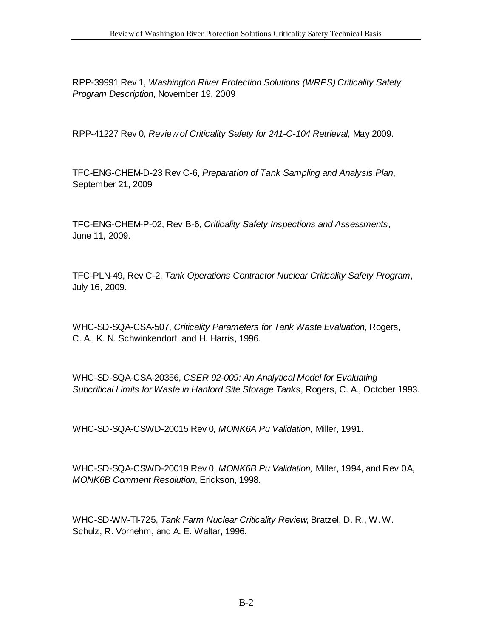RPP-39991 Rev 1, *Washington River Protection Solutions (WRPS) Criticality Safety Program Description*, November 19, 2009

RPP-41227 Rev 0, *Review of Criticality Safety for 241-C-104 Retrieval*, May 2009.

TFC-ENG-CHEM-D-23 Rev C-6, *Preparation of Tank Sampling and Analysis Plan*, September 21, 2009

TFC-ENG-CHEM-P-02, Rev B-6, *Criticality Safety Inspections and Assessments*, June 11, 2009.

TFC-PLN-49, Rev C-2, *Tank Operations Contractor Nuclear Criticality Safety Program*, July 16, 2009.

WHC-SD-SQA-CSA-507, *Criticality Parameters for Tank Waste Evaluation*, Rogers, C. A., K. N. Schwinkendorf, and H. Harris, 1996.

WHC-SD-SQA-CSA-20356, *CSER 92-009: An Analytical Model for Evaluating Subcritical Limits for Waste in Hanford Site Storage Tanks*, Rogers, C. A., October 1993.

WHC-SD-SQA-CSWD-20015 Rev 0*, MONK6A Pu Validation*, Miller, 1991.

WHC-SD-SQA-CSWD-20019 Rev 0, *MONK6B Pu Validation,* Miller, 1994, and Rev 0A, *MONK6B Comment Resolution*, Erickson, 1998.

WHC-SD-WM-TI-725, *Tank Farm Nuclear Criticality Review*, Bratzel, D. R., W. W. Schulz, R. Vornehm, and A. E. Waltar, 1996.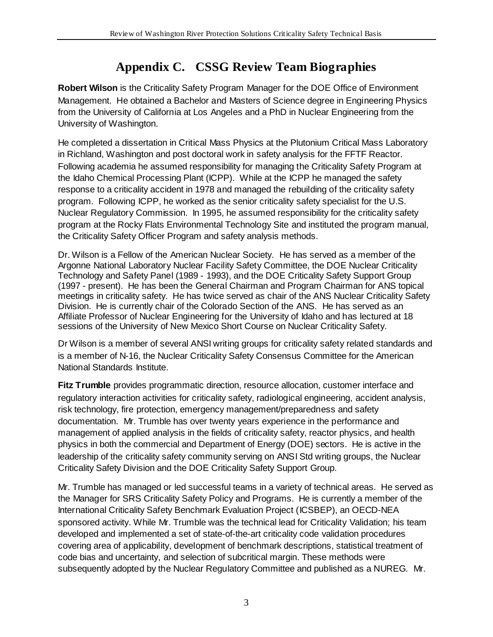# **Appendix C. CSSG Review Team Biographies**

<span id="page-25-0"></span>**Robert Wilson** is the Criticality Safety Program Manager for the DOE Office of Environment Management. He obtained a Bachelor and Masters of Science degree in Engineering Physics from the University of California at Los Angeles and a PhD in Nuclear Engineering from the University of Washington.

He completed a dissertation in Critical Mass Physics at the Plutonium Critical Mass Laboratory in Richland, Washington and post doctoral work in safety analysis for the FFTF Reactor. Following academia he assumed responsibility for managing the Criticality Safety Program at the Idaho Chemical Processing Plant (ICPP). While at the ICPP he managed the safety response to a criticality accident in 1978 and managed the rebuilding of the criticality safety program. Following ICPP, he worked as the senior criticality safety specialist for the U.S. Nuclear Regulatory Commission. In 1995, he assumed responsibility for the criticality safety program at the Rocky Flats Environmental Technology Site and instituted the program manual, the Criticality Safety Officer Program and safety analysis methods.

Dr. Wilson is a Fellow of the American Nuclear Society. He has served as a member of the Argonne National Laboratory Nuclear Facility Safety Committee, the DOE Nuclear Criticality Technology and Safety Panel (1989 - 1993), and the DOE Criticality Safety Support Group (1997 - present). He has been the General Chairman and Program Chairman for ANS topical meetings in criticality safety. He has twice served as chair of the ANS Nuclear Criticality Safety Division. He is currently chair of the Colorado Section of the ANS. He has served as an Affiliate Professor of Nuclear Engineering for the University of Idaho and has lectured at 18 sessions of the University of New Mexico Short Course on Nuclear Criticality Safety.

Dr Wilson is a member of several ANSI writing groups for criticality safety related standards and is a member of N-16, the Nuclear Criticality Safety Consensus Committee for the American National Standards Institute.

**Fitz Trumble** provides programmatic direction, resource allocation, customer interface and regulatory interaction activities for criticality safety, radiological engineering, accident analysis, risk technology, fire protection, emergency management/preparedness and safety documentation. Mr. Trumble has over twenty years experience in the performance and management of applied analysis in the fields of criticality safety, reactor physics, and health physics in both the commercial and Department of Energy (DOE) sectors. He is active in the leadership of the criticality safety community serving on ANSI Std writing groups, the Nuclear Criticality Safety Division and the DOE Criticality Safety Support Group.

Mr. Trumble has managed or led successful teams in a variety of technical areas. He served as the Manager for SRS Criticality Safety Policy and Programs. He is currently a member of the International Criticality Safety Benchmark Evaluation Project (ICSBEP), an OECD-NEA sponsored activity. While Mr. Trumble was the technical lead for Criticality Validation; his team developed and implemented a set of state-of-the-art criticality code validation procedures covering area of applicability, development of benchmark descriptions, statistical treatment of code bias and uncertainty, and selection of subcritical margin. These methods were subsequently adopted by the Nuclear Regulatory Committee and published as a NUREG. Mr.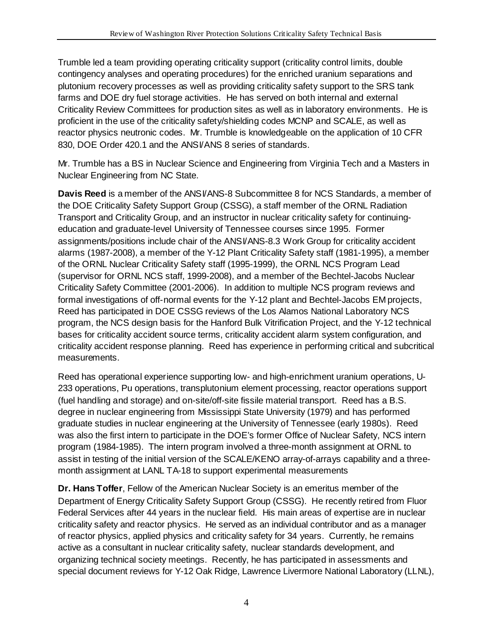Trumble led a team providing operating criticality support (criticality control limits, double contingency analyses and operating procedures) for the enriched uranium separations and plutonium recovery processes as well as providing criticality safety support to the SRS tank farms and DOE dry fuel storage activities. He has served on both internal and external Criticality Review Committees for production sites as well as in laboratory environments. He is proficient in the use of the criticality safety/shielding codes MCNP and SCALE, as well as reactor physics neutronic codes. Mr. Trumble is knowledgeable on the application of 10 CFR 830, DOE Order 420.1 and the ANSI/ANS 8 series of standards.

Mr. Trumble has a BS in Nuclear Science and Engineering from Virginia Tech and a Masters in Nuclear Engineering from NC State.

**Davis Reed** is a member of the ANSI/ANS-8 Subcommittee 8 for NCS Standards, a member of the DOE Criticality Safety Support Group (CSSG), a staff member of the ORNL Radiation Transport and Criticality Group, and an instructor in nuclear criticality safety for continuingeducation and graduate-level University of Tennessee courses since 1995. Former assignments/positions include chair of the ANSI/ANS-8.3 Work Group for criticality accident alarms (1987-2008), a member of the Y-12 Plant Criticality Safety staff (1981-1995), a member of the ORNL Nuclear Criticality Safety staff (1995-1999), the ORNL NCS Program Lead (supervisor for ORNL NCS staff, 1999-2008), and a member of the Bechtel-Jacobs Nuclear Criticality Safety Committee (2001-2006). In addition to multiple NCS program reviews and formal investigations of off-normal events for the Y-12 plant and Bechtel-Jacobs EM projects, Reed has participated in DOE CSSG reviews of the Los Alamos National Laboratory NCS program, the NCS design basis for the Hanford Bulk Vitrification Project, and the Y-12 technical bases for criticality accident source terms, criticality accident alarm system configuration, and criticality accident response planning. Reed has experience in performing critical and subcritical measurements.

Reed has operational experience supporting low- and high-enrichment uranium operations, U-233 operations, Pu operations, transplutonium element processing, reactor operations support (fuel handling and storage) and on-site/off-site fissile material transport. Reed has a B.S. degree in nuclear engineering from Mississippi State University (1979) and has performed graduate studies in nuclear engineering at the University of Tennessee (early 1980s). Reed was also the first intern to participate in the DOE's former Office of Nuclear Safety, NCS intern program (1984-1985). The intern program involved a three-month assignment at ORNL to assist in testing of the initial version of the SCALE/KENO array-of-arrays capability and a threemonth assignment at LANL TA-18 to support experimental measurements

**Dr. Hans Toffer**, Fellow of the American Nuclear Society is an emeritus member of the Department of Energy Criticality Safety Support Group (CSSG). He recently retired from Fluor Federal Services after 44 years in the nuclear field. His main areas of expertise are in nuclear criticality safety and reactor physics. He served as an individual contributor and as a manager of reactor physics, applied physics and criticality safety for 34 years. Currently, he remains active as a consultant in nuclear criticality safety, nuclear standards development, and organizing technical society meetings. Recently, he has participated in assessments and special document reviews for Y-12 Oak Ridge, Lawrence Livermore National Laboratory (LLNL),